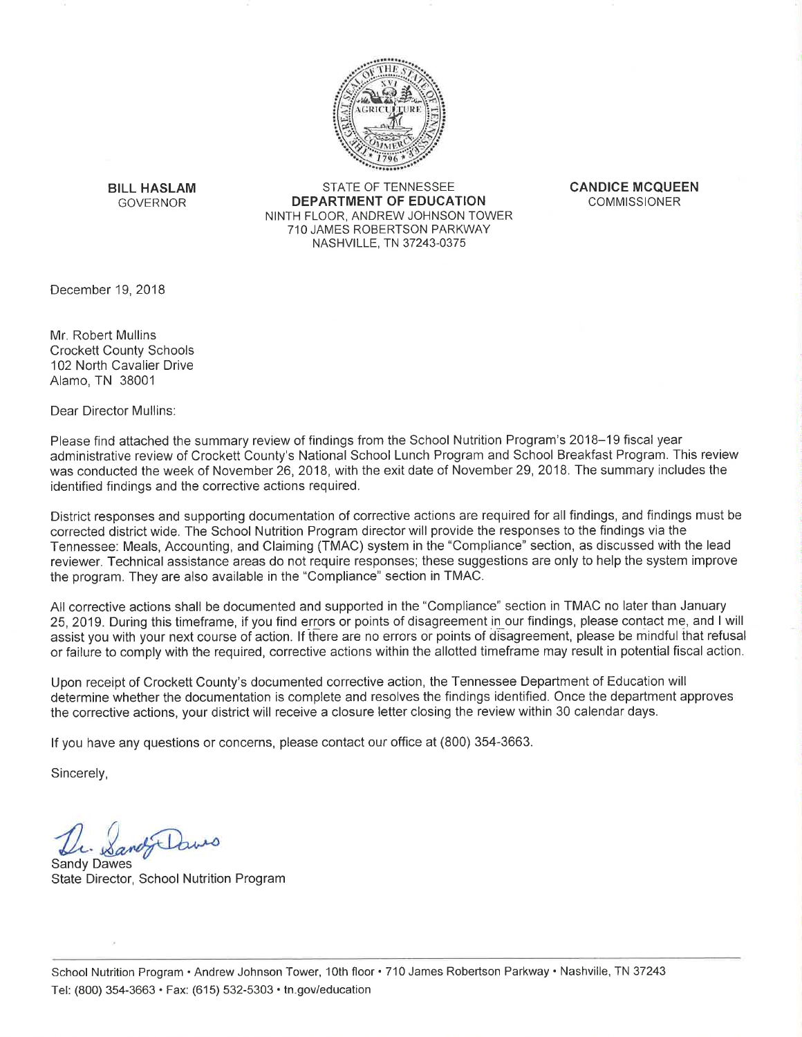

**BILL HASLAM GOVERNOR** 

**STATE OF TENNESSEE DEPARTMENT OF EDUCATION** NINTH FLOOR, ANDREW JOHNSON TOWER 710 JAMES ROBERTSON PARKWAY NASHVILLE, TN 37243-0375

**CANDICE MCQUEEN COMMISSIONER** 

December 19, 2018

Mr. Robert Mullins **Crockett County Schools** 102 North Cavalier Drive Alamo, TN 38001

Dear Director Mullins:

Please find attached the summary review of findings from the School Nutrition Program's 2018-19 fiscal year administrative review of Crockett County's National School Lunch Program and School Breakfast Program. This review was conducted the week of November 26, 2018, with the exit date of November 29, 2018. The summary includes the identified findings and the corrective actions required.

District responses and supporting documentation of corrective actions are required for all findings, and findings must be corrected district wide. The School Nutrition Program director will provide the responses to the findings via the Tennessee: Meals, Accounting, and Claiming (TMAC) system in the "Compliance" section, as discussed with the lead reviewer. Technical assistance areas do not require responses; these suggestions are only to help the system improve the program. They are also available in the "Compliance" section in TMAC.

All corrective actions shall be documented and supported in the "Compliance" section in TMAC no later than January 25, 2019. During this timeframe, if you find errors or points of disagreement in our findings, please contact me, and I will assist you with your next course of action. If there are no errors or points of disagreement, please be mindful that refusal or failure to comply with the required, corrective actions within the allotted timeframe may result in potential fiscal action.

Upon receipt of Crockett County's documented corrective action, the Tennessee Department of Education will determine whether the documentation is complete and resolves the findings identified. Once the department approves the corrective actions, your district will receive a closure letter closing the review within 30 calendar days.

If you have any questions or concerns, please contact our office at (800) 354-3663.

Sincerely,

this

**Sandy Dawes** State Director, School Nutrition Program